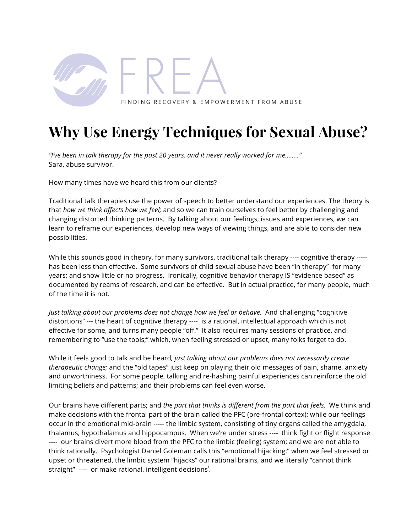

# **Why Use Energy Techniques for Sexual Abuse?**

*"I've been in talk therapy for the past 20 years, and it never really worked for me…….."* Sara, abuse survivor.

How many times have we heard this from our clients?

Traditional talk therapies use the power of speech to better understand our experiences. The theory is that *how we think affects how we feel;* and so we can train ourselves to feel better by challenging and changing distorted thinking patterns. By talking about our feelings, issues and experiences, we can learn to reframe our experiences, develop new ways of viewing things, and are able to consider new possibilities.

While this sounds good in theory, for many survivors, traditional talk therapy ---- cognitive therapy ----has been less than effective. Some survivors of child sexual abuse have been "in therapy" for many years; and show little or no progress. Ironically, cognitive behavior therapy IS "evidence based" as documented by reams of research, and can be effective. But in actual practice, for many people, much of the time it is not.

*Just talking about our problems does not change how we feel or behave.* And challenging "cognitive distortions" --- the heart of cognitive therapy ---- is a rational, intellectual approach which is not effective for some, and turns many people "off." It also requires many sessions of practice, and remembering to "use the tools;" which, when feeling stressed or upset, many folks forget to do.

While it feels good to talk and be heard*, just talking about our problems does not necessarily create therapeutic change;* and the "old tapes" just keep on playing their old messages of pain, shame, anxiety and unworthiness. For some people, talking and re-hashing painful experiences can reinforce the old limiting beliefs and patterns; and their problems can feel even worse.

Our brains have different parts; and *the part that thinks is different from the part that feels.* We think and make decisions with the frontal part of the brain called the PFC (pre-frontal cortex); while our feelings occur in the emotional mid-brain ----- the limbic system, consisting of tiny organs called the amygdala, thalamus, hypothalamus and hippocampus. When we're under stress ---- think fight or flight response ---- our brains divert more blood from the PFC to the limbic (feeling) system; and we are not able to think rationally. Psychologist Daniel Goleman calls this "emotional hijacking:" when we feel stressed or upset or threatened, the limbic system "hijacks" our rational brains, and we literally "cannot think straight" ---- or make rational, intelligent decisions<sup>i</sup>.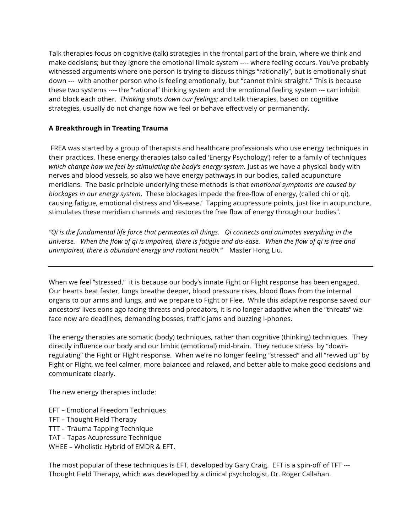Talk therapies focus on cognitive (talk) strategies in the frontal part of the brain, where we think and make decisions; but they ignore the emotional limbic system ---- where feeling occurs. You've probably witnessed arguments where one person is trying to discuss things "rationally", but is emotionally shut down --- with another person who is feeling emotionally, but "cannot think straight." This is because these two systems ---- the "rational" thinking system and the emotional feeling system --- can inhibit and block each other. *Thinking shuts down our feelings;* and talk therapies, based on cognitive strategies, usually do not change how we feel or behave effectively or permanently.

## **A Breakthrough in Treating Trauma**

FREA was started by a group of therapists and healthcare professionals who use energy techniques in their practices. These energy therapies (also called 'Energy Psychology') refer to a family of techniques *which change how we feel by stimulating the body's energy system.* Just as we have a physical body with nerves and blood vessels, so also we have energy pathways in our bodies, called acupuncture meridians. The basic principle underlying these methods is that *emotional symptoms are caused by blockages in our energy system*. These blockages impede the free-flow of energy, (called chi or qi), causing fatigue, emotional distress and 'dis-ease.' Tapping acupressure points, just like in acupuncture, stimulates these meridian channels and restores the free flow of energy through our bodies $^{\text{ii}}$ .

*"Qi is the fundamental life force that permeates all things. Qi connects and animates everything in the universe. When the flow of qi is impaired, there is fatigue and dis-ease. When the flow of qi is free and unimpaired, there is abundant energy and radiant health."* Master Hong Liu.

When we feel "stressed," it is because our body's innate Fight or Flight response has been engaged. Our hearts beat faster, lungs breathe deeper, blood pressure rises, blood flows from the internal organs to our arms and lungs, and we prepare to Fight or Flee. While this adaptive response saved our ancestors' lives eons ago facing threats and predators, it is no longer adaptive when the "threats" we face now are deadlines, demanding bosses, traffic jams and buzzing I-phones.

The energy therapies are somatic (body) techniques, rather than cognitive (thinking) techniques. They directly influence our body and our limbic (emotional) mid-brain. They reduce stress by "downregulating" the Fight or Flight response. When we're no longer feeling "stressed" and all "revved up" by Fight or Flight, we feel calmer, more balanced and relaxed, and better able to make good decisions and communicate clearly.

The new energy therapies include:

- EFT Emotional Freedom Techniques
- TFT Thought Field Therapy
- TTT Trauma Tapping Technique
- TAT Tapas Acupressure Technique
- WHEE Wholistic Hybrid of EMDR & EFT.

The most popular of these techniques is EFT, developed by Gary Craig. EFT is a spin-off of TFT --- Thought Field Therapy, which was developed by a clinical psychologist, Dr. Roger Callahan.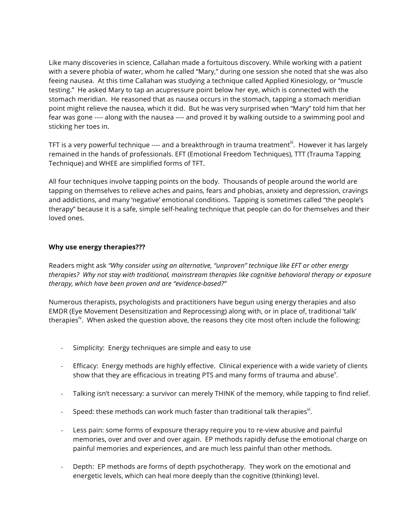Like many discoveries in science, Callahan made a fortuitous discovery. While working with a patient with a severe phobia of water, whom he called "Mary," during one session she noted that she was also feeing nausea. At this time Callahan was studying a technique called Applied Kinesiology, or "muscle testing." He asked Mary to tap an acupressure point below her eye, which is connected with the stomach meridian. He reasoned that as nausea occurs in the stomach, tapping a stomach meridian point might relieve the nausea, which it did. But he was very surprised when "Mary" told him that her fear was gone ---- along with the nausea ---- and proved it by walking outside to a swimming pool and sticking her toes in.

TFT is a very powerful technique ---- and a breakthrough in trauma treatment<sup>ii</sup>. However it has largely remained in the hands of professionals. EFT (Emotional Freedom Techniques), TTT (Trauma Tapping Technique) and WHEE are simplified forms of TFT.

All four techniques involve tapping points on the body. Thousands of people around the world are tapping on themselves to relieve aches and pains, fears and phobias, anxiety and depression, cravings and addictions, and many 'negative' emotional conditions. Tapping is sometimes called "the people's therapy" because it is a safe, simple self-healing technique that people can do for themselves and their loved ones.

#### **Why use energy therapies???**

Readers might ask *"Why consider using an alternative, "unproven" technique like EFT or other energy therapies? Why not stay with traditional, mainstream therapies like cognitive behavioral therapy or exposure therapy, which have been proven and are "evidence-based?"*

Numerous therapists, psychologists and practitioners have begun using energy therapies and also EMDR (Eye Movement Desensitization and Reprocessing) along with, or in place of, traditional 'talk' therapies<sup>"</sup>. When asked the question above, the reasons they cite most often include the following:

- Simplicity: Energy techniques are simple and easy to use
- Efficacy: Energy methods are highly effective. Clinical experience with a wide variety of clients show that they are efficacious in treating PTS and many forms of trauma and abuse $^{\vee}$ .
- Talking isn't necessary: a survivor can merely THINK of the memory, while tapping to find relief.
- $\;$  Speed: these methods can work much faster than traditional talk therapies $^{\sf vi}$ .
- Less pain: some forms of exposure therapy require you to re-view abusive and painful memories, over and over and over again. EP methods rapidly defuse the emotional charge on painful memories and experiences, and are much less painful than other methods.
- Depth: EP methods are forms of depth psychotherapy. They work on the emotional and energetic levels, which can heal more deeply than the cognitive (thinking) level.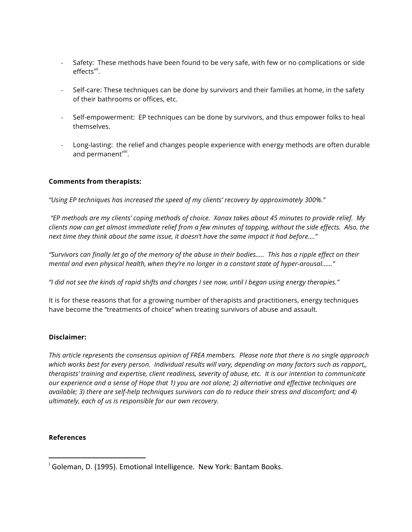- Safety: These methods have been found to be very safe, with few or no complications or side effects<sup>vii</sup>.
- Self-care: These techniques can be done by survivors and their families at home, in the safety of their bathrooms or offices, etc.
- Self-empowerment: EP techniques can be done by survivors, and thus empower folks to heal themselves.
- Long-lasting: the relief and changes people experience with energy methods are often durable and permanent<sup>viii</sup>.

### **Comments from therapists:**

*"Using EP techniques has increased the speed of my clients' recovery by approximately 300%."*

*"EP methods are my clients' coping methods of choice. Xanax takes about 45 minutes to provide relief. My clients now can get almost immediate relief from a few minutes of tapping, without the side effects. Also, the next time they think about the same issue, it doesn't have the same impact it had before…."*

*"Survivors can finally let go of the memory of the abuse in their bodies….. This has a ripple effect on their mental and even physical health, when they're no longer in a constant state of hyper-arousal……"*

*"I did not see the kinds of rapid shifts and changes I see now, until I began using energy therapies."*

It is for these reasons that for a growing number of therapists and practitioners, energy techniques have become the "treatments of choice" when treating survivors of abuse and assault.

### **Disclaimer:**

*This article represents the consensus opinion of FREA members. Please note that there is no single approach which works best for every person. Individual results will vary, depending on many factors such as rapport,, therapists' training and expertise, client readiness, severity of abuse, etc. It is our intention to communicate our experience and a sense of Hope that 1) you are not alone; 2) alternative and effective techniques are available; 3) there are self-help techniques survivors can do to reduce their stress and discomfort; and 4) ultimately, each of us is responsible for our own recovery.*

### **References**

 

<sup>&</sup>lt;sup>i</sup> Goleman, D. (1995). Emotional Intelligence. New York: Bantam Books.